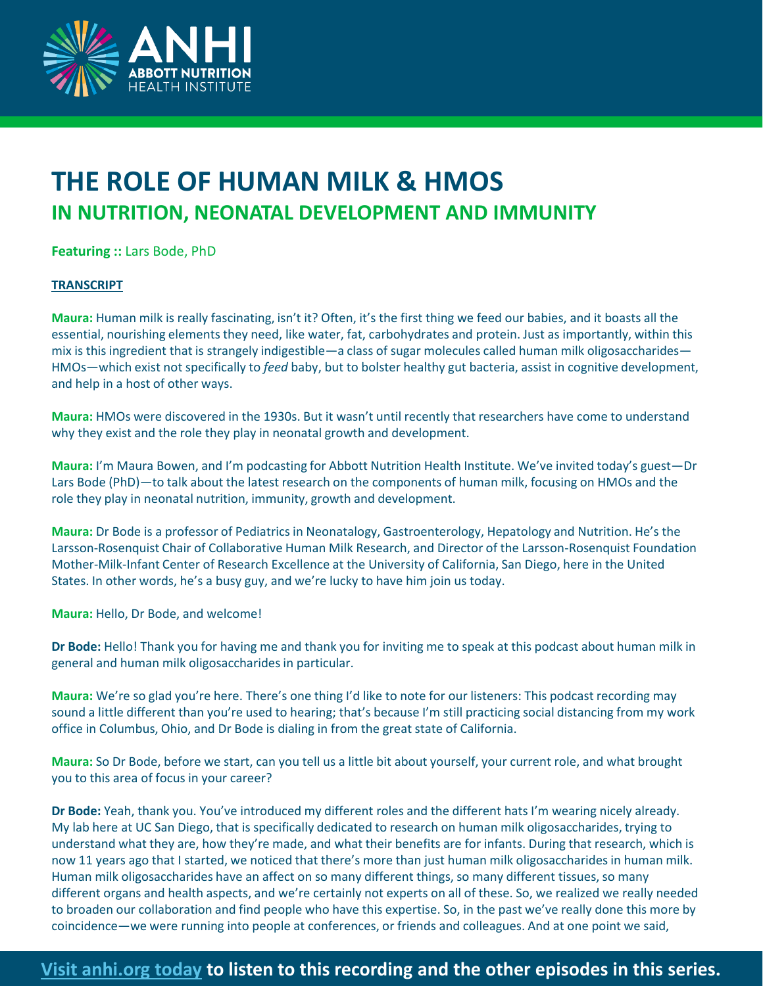

# **THE ROLE OF HUMAN MILK & HMOS IN NUTRITION, NEONATAL DEVELOPMENT AND IMMUNITY**

**Featuring ::** Lars Bode, PhD

### **TRANSCRIPT**

**Maura:** Human milk is really fascinating, isn't it? Often, it's the first thing we feed our babies, and it boasts all the essential, nourishing elements they need, like water, fat, carbohydrates and protein. Just as importantly, within this mix is this ingredient that is strangely indigestible—a class of sugar molecules called human milk oligosaccharides— HMOs—which exist not specifically to *feed* baby, but to bolster healthy gut bacteria, assist in cognitive development, and help in a host of other ways.

**Maura:** HMOs were discovered in the 1930s. But it wasn't until recently that researchers have come to understand why they exist and the role they play in neonatal growth and development.

**Maura:** I'm Maura Bowen, and I'm podcasting for Abbott Nutrition Health Institute. We've invited today's guest—Dr Lars Bode (PhD)—to talk about the latest research on the components of human milk, focusing on HMOs and the role they play in neonatal nutrition, immunity, growth and development.

**Maura:** Dr Bode is a professor of Pediatrics in Neonatalogy, Gastroenterology, Hepatology and Nutrition. He's the Larsson-Rosenquist Chair of Collaborative Human Milk Research, and Director of the Larsson-Rosenquist Foundation Mother-Milk-Infant Center of Research Excellence at the University of California, San Diego, here in the United States. In other words, he's a busy guy, and we're lucky to have him join us today.

**Maura:** Hello, Dr Bode, and welcome!

**Dr Bode:** Hello! Thank you for having me and thank you for inviting me to speak at this podcast about human milk in general and human milk oligosaccharides in particular.

**Maura:** We're so glad you're here. There's one thing I'd like to note for our listeners: This podcast recording may sound a little different than you're used to hearing; that's because I'm still practicing social distancing from my work office in Columbus, Ohio, and Dr Bode is dialing in from the great state of California.

**Maura:** So Dr Bode, before we start, can you tell us a little bit about yourself, your current role, and what brought you to this area of focus in your career?

**Dr Bode:** Yeah, thank you. You've introduced my different roles and the different hats I'm wearing nicely already. My lab here at UC San Diego, that is specifically dedicated to research on human milk oligosaccharides, trying to understand what they are, how they're made, and what their benefits are for infants. During that research, which is now 11 years ago that I started, we noticed that there's more than just human milk oligosaccharides in human milk. Human milk oligosaccharides have an affect on so many different things, so many different tissues, so many different organs and health aspects, and we're certainly not experts on all of these. So, we realized we really needed to broaden our collaboration and find people who have this expertise. So, in the past we've really done this more by coincidence—we were running into people at conferences, or friends and colleagues. And at one point we said,

## **[Visit anhi.org today](anhi.org/resources/podcasts-and-videos/nutrition-and-immunity-podcast-series) to listen to this recording and the other episodes in this series.**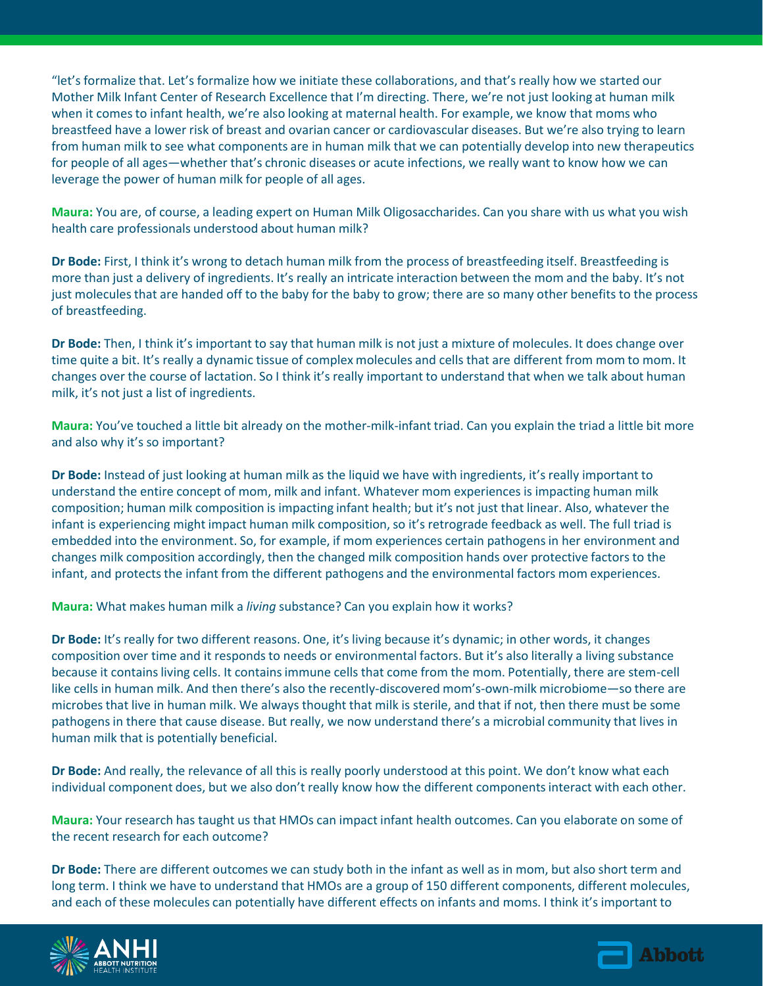"let's formalize that. Let's formalize how we initiate these collaborations, and that's really how we started our Mother Milk Infant Center of Research Excellence that I'm directing. There, we're not just looking at human milk when it comes to infant health, we're also looking at maternal health. For example, we know that moms who breastfeed have a lower risk of breast and ovarian cancer or cardiovascular diseases. But we're also trying to learn from human milk to see what components are in human milk that we can potentially develop into new therapeutics for people of all ages—whether that's chronic diseases or acute infections, we really want to know how we can leverage the power of human milk for people of all ages.

**Maura:** You are, of course, a leading expert on Human Milk Oligosaccharides. Can you share with us what you wish health care professionals understood about human milk?

**Dr Bode:** First, I think it's wrong to detach human milk from the process of breastfeeding itself. Breastfeeding is more than just a delivery of ingredients. It's really an intricate interaction between the mom and the baby. It's not just molecules that are handed off to the baby for the baby to grow; there are so many other benefits to the process of breastfeeding.

**Dr Bode:** Then, I think it's important to say that human milk is not just a mixture of molecules. It does change over time quite a bit. It's really a dynamic tissue of complex molecules and cells that are different from mom to mom. It changes over the course of lactation. So I think it's really important to understand that when we talk about human milk, it's not just a list of ingredients.

**Maura:** You've touched a little bit already on the mother-milk-infant triad. Can you explain the triad a little bit more and also why it's so important?

**Dr Bode:** Instead of just looking at human milk as the liquid we have with ingredients, it's really important to understand the entire concept of mom, milk and infant. Whatever mom experiences is impacting human milk composition; human milk composition is impacting infant health; but it's not just that linear. Also, whatever the infant is experiencing might impact human milk composition, so it's retrograde feedback as well. The full triad is embedded into the environment. So, for example, if mom experiences certain pathogens in her environment and changes milk composition accordingly, then the changed milk composition hands over protective factors to the infant, and protects the infant from the different pathogens and the environmental factors mom experiences.

**Maura:** What makes human milk a *living* substance? Can you explain how it works?

**Dr Bode:** It's really for two different reasons. One, it's living because it's dynamic; in other words, it changes composition over time and it responds to needs or environmental factors. But it's also literally a living substance because it contains living cells. It contains immune cells that come from the mom. Potentially, there are stem-cell like cells in human milk. And then there's also the recently-discovered mom's-own-milk microbiome—so there are microbes that live in human milk. We always thought that milk is sterile, and that if not, then there must be some pathogens in there that cause disease. But really, we now understand there's a microbial community that lives in human milk that is potentially beneficial.

**Dr Bode:** And really, the relevance of all this is really poorly understood at this point. We don't know what each individual component does, but we also don't really know how the different components interact with each other.

**Maura:** Your research has taught us that HMOs can impact infant health outcomes. Can you elaborate on some of the recent research for each outcome?

**Dr Bode:** There are different outcomes we can study both in the infant as well as in mom, but also short term and long term. I think we have to understand that HMOs are a group of 150 different components, different molecules, and each of these molecules can potentially have different effects on infants and moms. I think it's important to



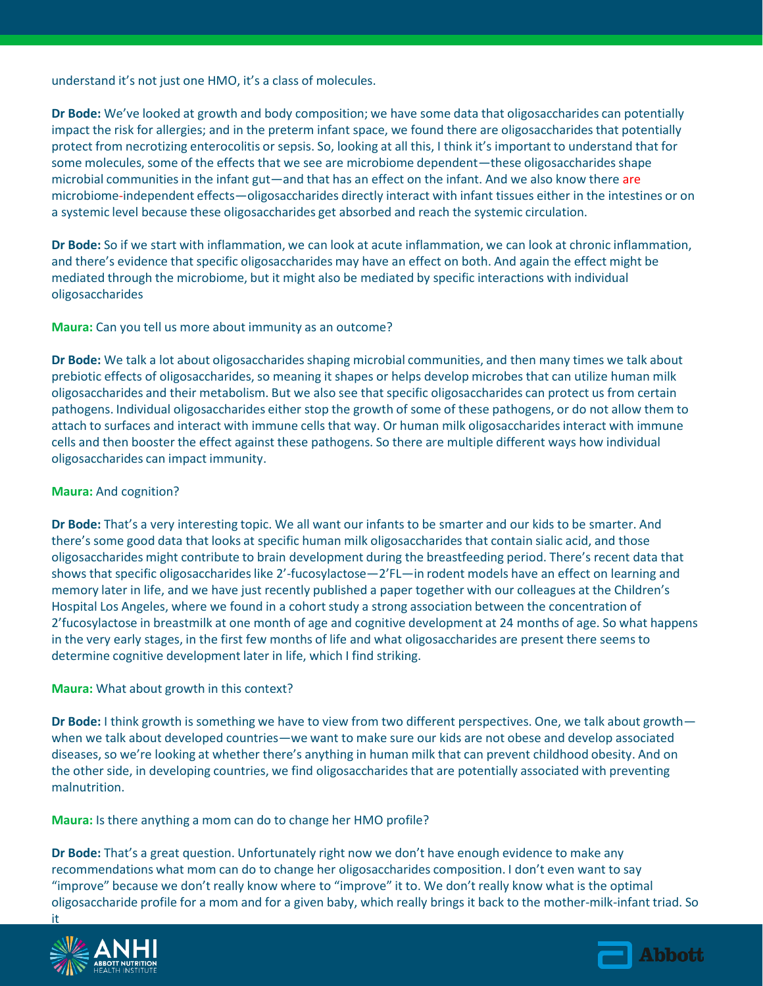understand it's not just one HMO, it's a class of molecules.

**Dr Bode:** We've looked at growth and body composition; we have some data that oligosaccharides can potentially impact the risk for allergies; and in the preterm infant space, we found there are oligosaccharides that potentially protect from necrotizing enterocolitis or sepsis. So, looking at all this, I think it's important to understand that for some molecules, some of the effects that we see are microbiome dependent—these oligosaccharides shape microbial communities in the infant gut—and that has an effect on the infant. And we also know there are microbiome-independent effects—oligosaccharides directly interact with infant tissues either in the intestines or on a systemic level because these oligosaccharides get absorbed and reach the systemic circulation.

**Dr Bode:** So if we start with inflammation, we can look at acute inflammation, we can look at chronic inflammation, and there's evidence that specific oligosaccharides may have an effect on both. And again the effect might be mediated through the microbiome, but it might also be mediated by specific interactions with individual oligosaccharides

**Maura:** Can you tell us more about immunity as an outcome?

**Dr Bode:** We talk a lot about oligosaccharides shaping microbial communities, and then many times we talk about prebiotic effects of oligosaccharides, so meaning it shapes or helps develop microbes that can utilize human milk oligosaccharides and their metabolism. But we also see that specific oligosaccharides can protect us from certain pathogens. Individual oligosaccharides either stop the growth of some of these pathogens, or do not allow them to attach to surfaces and interact with immune cells that way. Or human milk oligosaccharides interact with immune cells and then booster the effect against these pathogens. So there are multiple different ways how individual oligosaccharides can impact immunity.

### **Maura:** And cognition?

**Dr Bode:** That's a very interesting topic. We all want our infants to be smarter and our kids to be smarter. And there's some good data that looks at specific human milk oligosaccharides that contain sialic acid, and those oligosaccharides might contribute to brain development during the breastfeeding period. There's recent data that shows that specific oligosaccharides like 2'-fucosylactose—2'FL—in rodent models have an effect on learning and memory later in life, and we have just recently published a paper together with our colleagues at the Children's Hospital Los Angeles, where we found in a cohort study a strong association between the concentration of 2'fucosylactose in breastmilk at one month of age and cognitive development at 24 months of age. So what happens in the very early stages, in the first few months of life and what oligosaccharides are present there seems to determine cognitive development later in life, which I find striking.

#### **Maura:** What about growth in this context?

**Dr Bode:** I think growth is something we have to view from two different perspectives. One, we talk about growth when we talk about developed countries—we want to make sure our kids are not obese and develop associated diseases, so we're looking at whether there's anything in human milk that can prevent childhood obesity. And on the other side, in developing countries, we find oligosaccharides that are potentially associated with preventing malnutrition.

**Maura:** Is there anything a mom can do to change her HMO profile?

**Dr Bode:** That's a great question. Unfortunately right now we don't have enough evidence to make any recommendations what mom can do to change her oligosaccharides composition. I don't even want to say "improve" because we don't really know where to "improve" it to. We don't really know what is the optimal oligosaccharide profile for a mom and for a given baby, which really brings it back to the mother-milk-infant triad. So it